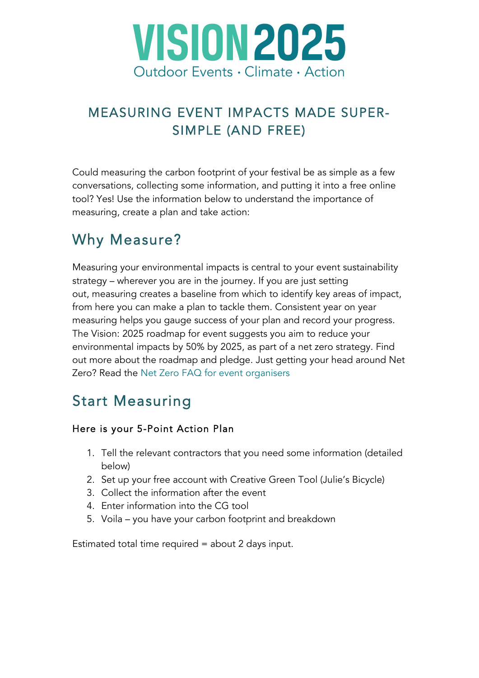

### MEASURING EVENT IMPACTS MADE SUPER-SIMPLE (AND FREE)

Could measuring the carbon footprint of your festival be as simple as a few conversations, collecting some information, and putting it into a free online tool? Yes! Use the information below to understand the importance of measuring, create a plan and take action:

## Why Measure?

Measuring your environmental impacts is central to your event sustainability strategy – wherever you are in the journey. If you are just setting out, measuring creates a baseline from which to identify key areas of impact, from here you can make a plan to tackle them. Consistent year on year measuring helps you gauge success of your plan and record your progress. The Vision: 2025 roadmap for event suggests you aim to reduce your environmental impacts by 50% by 2025, as part of a net zero strategy. Find out more about the roadmap and pledge. Just getting your head around Net Zero? Read the Net Zero FAQ for event organisers

## Start Measuring

#### Here is your 5-Point Action Plan

- 1. Tell the relevant contractors that you need some information (detailed below)
- 2. Set up your free account with Creative Green Tool (Julie's Bicycle)
- 3. Collect the information after the event
- 4. Enter information into the CG tool
- 5. Voila you have your carbon footprint and breakdown

Estimated total time required = about 2 days input.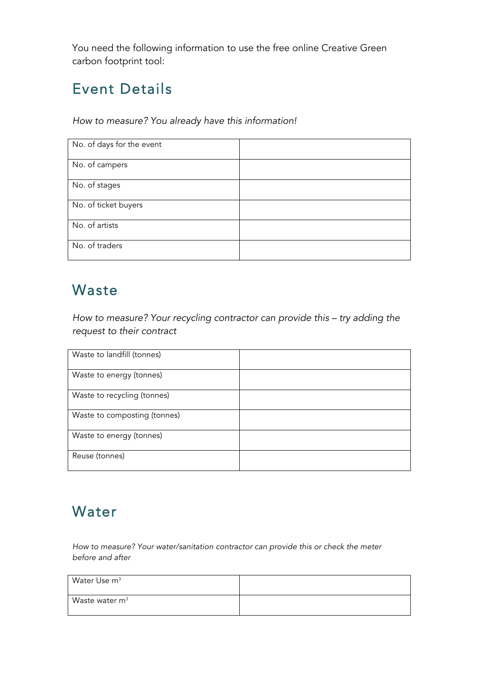You need the following information to use the free online Creative Green carbon footprint tool:

# Event Details

*How to measure? You already have this information!*

| No. of days for the event |  |
|---------------------------|--|
| No. of campers            |  |
| No. of stages             |  |
| No. of ticket buyers      |  |
| No. of artists            |  |
| No. of traders            |  |

#### Waste

*How to measure? Your recycling contractor can provide this – try adding the request to their contract*

| Waste to landfill (tonnes)   |  |
|------------------------------|--|
| Waste to energy (tonnes)     |  |
| Waste to recycling (tonnes)  |  |
| Waste to composting (tonnes) |  |
| Waste to energy (tonnes)     |  |
| Reuse (tonnes)               |  |

### Water

*How to measure? Your water/sanitation contractor can provide this or check the meter before and after*

| Water Use m <sup>3</sup> |  |
|--------------------------|--|
| Waste water $m3$         |  |